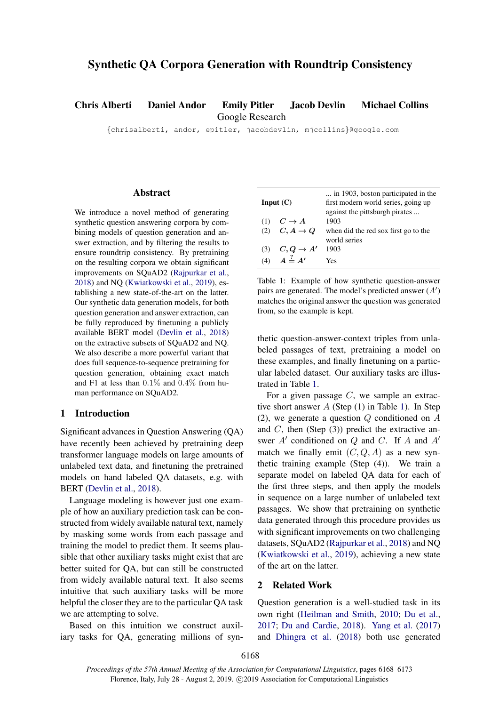# <span id="page-0-1"></span>Synthetic QA Corpora Generation with Roundtrip Consistency

Chris Alberti Daniel Andor Emily Pitler Jacob Devlin Michael Collins

Google Research

{chrisalberti, andor, epitler, jacobdevlin, mjcollins}@google.com

# Abstract

We introduce a novel method of generating synthetic question answering corpora by combining models of question generation and answer extraction, and by filtering the results to ensure roundtrip consistency. By pretraining on the resulting corpora we obtain significant improvements on SQuAD2 [\(Rajpurkar et al.,](#page-5-0) [2018\)](#page-5-0) and NQ [\(Kwiatkowski et al.,](#page-5-1) [2019\)](#page-5-1), establishing a new state-of-the-art on the latter. Our synthetic data generation models, for both question generation and answer extraction, can be fully reproduced by finetuning a publicly available BERT model [\(Devlin et al.,](#page-4-0) [2018\)](#page-4-0) on the extractive subsets of SQuAD2 and NQ. We also describe a more powerful variant that does full sequence-to-sequence pretraining for question generation, obtaining exact match and F1 at less than 0.1% and 0.4% from human performance on SQuAD2.

## 1 Introduction

Significant advances in Question Answering (QA) have recently been achieved by pretraining deep transformer language models on large amounts of unlabeled text data, and finetuning the pretrained models on hand labeled QA datasets, e.g. with BERT [\(Devlin et al.,](#page-4-0) [2018\)](#page-4-0).

Language modeling is however just one example of how an auxiliary prediction task can be constructed from widely available natural text, namely by masking some words from each passage and training the model to predict them. It seems plausible that other auxiliary tasks might exist that are better suited for QA, but can still be constructed from widely available natural text. It also seems intuitive that such auxiliary tasks will be more helpful the closer they are to the particular QA task we are attempting to solve.

Based on this intuition we construct auxiliary tasks for QA, generating millions of syn-

<span id="page-0-0"></span>

| Input $(C)$ |                            | in 1903, boston participated in the<br>first modern world series, going up<br>against the pittsburgh pirates |  |  |  |  |  |
|-------------|----------------------------|--------------------------------------------------------------------------------------------------------------|--|--|--|--|--|
|             | (1) $C \rightarrow A$      | 1903                                                                                                         |  |  |  |  |  |
|             | (2) $C, A \rightarrow Q$   | when did the red sox first go to the<br>world series                                                         |  |  |  |  |  |
|             | (3) $C, Q \rightarrow A'$  | 1903                                                                                                         |  |  |  |  |  |
|             | (4) $A \stackrel{?}{=} A'$ | Yes                                                                                                          |  |  |  |  |  |

Table 1: Example of how synthetic question-answer pairs are generated. The model's predicted answer  $(A')$ matches the original answer the question was generated from, so the example is kept.

thetic question-answer-context triples from unlabeled passages of text, pretraining a model on these examples, and finally finetuning on a particular labeled dataset. Our auxiliary tasks are illustrated in Table [1.](#page-0-0)

For a given passage  $C$ , we sample an extractive short answer A (Step (1) in Table [1\)](#page-0-0). In Step (2), we generate a question Q conditioned on A and  $C$ , then (Step  $(3)$ ) predict the extractive answer  $A'$  conditioned on  $Q$  and  $C$ . If  $A$  and  $A'$ match we finally emit  $(C, Q, A)$  as a new synthetic training example (Step (4)). We train a separate model on labeled QA data for each of the first three steps, and then apply the models in sequence on a large number of unlabeled text passages. We show that pretraining on synthetic data generated through this procedure provides us with significant improvements on two challenging datasets, SQuAD2 [\(Rajpurkar et al.,](#page-5-0) [2018\)](#page-5-0) and NQ [\(Kwiatkowski et al.,](#page-5-1) [2019\)](#page-5-1), achieving a new state of the art on the latter.

## 2 Related Work

Question generation is a well-studied task in its own right [\(Heilman and Smith,](#page-5-2) [2010;](#page-5-2) [Du et al.,](#page-4-1) [2017;](#page-4-1) [Du and Cardie,](#page-4-2) [2018\)](#page-4-2). [Yang et al.](#page-5-3) [\(2017\)](#page-5-3) and [Dhingra et al.](#page-4-3) [\(2018\)](#page-4-3) both use generated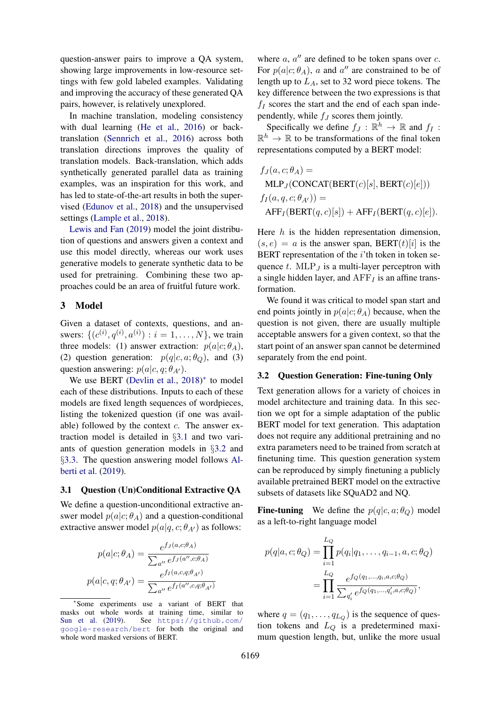question-answer pairs to improve a QA system, showing large improvements in low-resource settings with few gold labeled examples. Validating and improving the accuracy of these generated QA pairs, however, is relatively unexplored.

In machine translation, modeling consistency with dual learning [\(He et al.,](#page-5-4) [2016\)](#page-5-4) or backtranslation [\(Sennrich et al.,](#page-5-5) [2016\)](#page-5-5) across both translation directions improves the quality of translation models. Back-translation, which adds synthetically generated parallel data as training examples, was an inspiration for this work, and has led to state-of-the-art results in both the supervised [\(Edunov et al.,](#page-4-4) [2018\)](#page-4-4) and the unsupervised settings [\(Lample et al.,](#page-5-6) [2018\)](#page-5-6).

[Lewis and Fan](#page-5-7) [\(2019\)](#page-5-7) model the joint distribution of questions and answers given a context and use this model directly, whereas our work uses generative models to generate synthetic data to be used for pretraining. Combining these two approaches could be an area of fruitful future work.

### 3 Model

Given a dataset of contexts, questions, and answers:  $\{ (c^{(i)}, q^{(i)}, a^{(i)}) : i = 1, ..., N \}$ , we train three models: (1) answer extraction:  $p(a|c; \theta_A)$ , (2) question generation:  $p(q|c, a; \theta_Q)$ , and (3) question answering:  $p(a|c, q; \theta_{A})$ .

We use BERT [\(Devlin et al.,](#page-4-0) [2018\)](#page-4-0)<sup>\*</sup> to model each of these distributions. Inputs to each of these models are fixed length sequences of wordpieces, listing the tokenized question (if one was available) followed by the context  $c$ . The answer extraction model is detailed in §[3.1](#page-1-0) and two variants of question generation models in §[3.2](#page-1-1) and §[3.3.](#page-2-0) The question answering model follows [Al](#page-4-5)[berti et al.](#page-4-5) [\(2019\)](#page-4-5).

# <span id="page-1-0"></span>3.1 Question (Un)Conditional Extractive QA

We define a question-unconditional extractive answer model  $p(a|c; \theta_A)$  and a question-conditional extractive answer model  $p(a|q, c; \theta_{A})$  as follows:

$$
p(a|c; \theta_A) = \frac{e^{f_J(a,c;\theta_A)}}{\sum_{a''} e^{f_J(a'',c;\theta_A)}}
$$

$$
p(a|c,q; \theta_{A'}) = \frac{e^{f_I(a,c,q;\theta_{A'})}}{\sum_{a''} e^{f_I(a'',c,q;\theta_{A'})}}
$$

where  $a, a''$  are defined to be token spans over  $c$ . For  $p(a|c; \theta_A)$ , a and a'' are constrained to be of length up to  $L_A$ , set to 32 word piece tokens. The key difference between the two expressions is that  $f_I$  scores the start and the end of each span independently, while  $f_J$  scores them jointly.

Specifically we define  $f_J : \mathbb{R}^h \to \mathbb{R}$  and  $f_I$ :  $\mathbb{R}^h \to \mathbb{R}$  to be transformations of the final token representations computed by a BERT model:

$$
f_J(a, c; \theta_A) =
$$
  
MLP<sub>J</sub>(CONCAT(BERT(c)[s], BERT(c)[e]))  

$$
f_I(a, q, c; \theta_{A'}) =
$$
  
AFF<sub>I</sub>(BERT $(q, c)[s]$ ) + AFF<sub>I</sub>(BERT $(q, c)[e]$ ).

Here  $h$  is the hidden representation dimension,  $(s, e) = a$  is the answer span, BERT $(t)[i]$  is the BERT representation of the  $i$ 'th token in token sequence  $t$ . MLP<sub>J</sub> is a multi-layer perceptron with a single hidden layer, and  $AFF<sub>I</sub>$  is an affine transformation.

We found it was critical to model span start and end points jointly in  $p(a|c; \theta_A)$  because, when the question is not given, there are usually multiple acceptable answers for a given context, so that the start point of an answer span cannot be determined separately from the end point.

#### <span id="page-1-1"></span>3.2 Question Generation: Fine-tuning Only

Text generation allows for a variety of choices in model architecture and training data. In this section we opt for a simple adaptation of the public BERT model for text generation. This adaptation does not require any additional pretraining and no extra parameters need to be trained from scratch at finetuning time. This question generation system can be reproduced by simply finetuning a publicly available pretrained BERT model on the extractive subsets of datasets like SQuAD2 and NQ.

**Fine-tuning** We define the  $p(q|c, a; \theta_Q)$  model as a left-to-right language model

$$
p(q|a, c; \theta_Q) = \prod_{i=1}^{L_Q} p(q_i|q_1, \dots, q_{i-1}, a, c; \theta_Q)
$$
  
= 
$$
\prod_{i=1}^{L_Q} \frac{e^{f_Q(q_1, \dots, q_i, a, c; \theta_Q)}}{\sum_{q'_i} e^{f_Q(q_1, \dots, q'_i, a, c; \theta_Q)}},
$$

where  $q = (q_1, \ldots, q_{L_Q})$  is the sequence of question tokens and  $L_Q$  is a predetermined maximum question length, but, unlike the more usual

<sup>∗</sup> Some experiments use a variant of BERT that masks out whole words at training time, similar to [Sun et al.](#page-5-8) [\(2019\)](#page-5-8). See [https://github.com/](https://github.com/google-research/bert) [google-research/bert](https://github.com/google-research/bert) for both the original and whole word masked versions of BERT.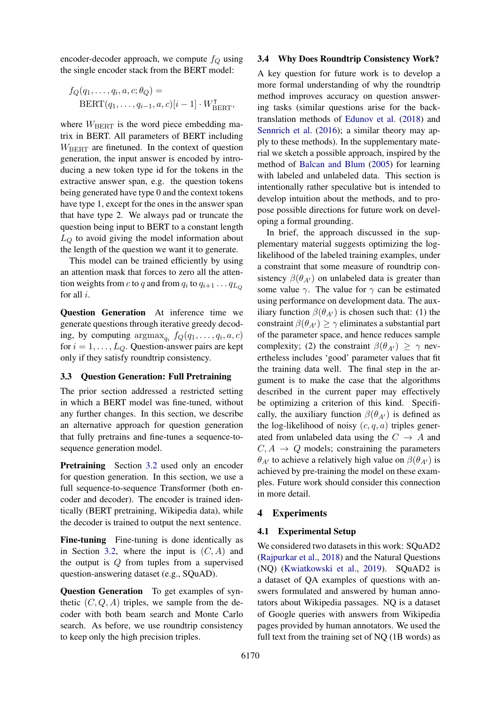encoder-decoder approach, we compute  $f_Q$  using the single encoder stack from the BERT model:

$$
f_Q(q_1, \ldots, q_i, a, c; \theta_Q) =
$$
  
BERT $(q_1, \ldots, q_{i-1}, a, c)[i-1] \cdot W_{BERT}^T$ ,

where  $W_{\text{BERT}}$  is the word piece embedding matrix in BERT. All parameters of BERT including  $W_{\text{BERT}}$  are finetuned. In the context of question generation, the input answer is encoded by introducing a new token type id for the tokens in the extractive answer span, e.g. the question tokens being generated have type 0 and the context tokens have type 1, except for the ones in the answer span that have type 2. We always pad or truncate the question being input to BERT to a constant length  $L<sub>O</sub>$  to avoid giving the model information about the length of the question we want it to generate.

This model can be trained efficiently by using an attention mask that forces to zero all the attention weights from c to q and from  $q_i$  to  $q_{i+1} \dots q_{L_Q}$ for all i.

Question Generation At inference time we generate questions through iterative greedy decoding, by computing  $\arg \max_{q_i} f_Q(q_1, \ldots, q_i, a, c)$ for  $i = 1, \ldots, L_Q$ . Question-answer pairs are kept only if they satisfy roundtrip consistency.

## <span id="page-2-0"></span>3.3 Question Generation: Full Pretraining

The prior section addressed a restricted setting in which a BERT model was fine-tuned, without any further changes. In this section, we describe an alternative approach for question generation that fully pretrains and fine-tunes a sequence-tosequence generation model.

**Pretraining** Section [3.2](#page-1-1) used only an encoder for question generation. In this section, we use a full sequence-to-sequence Transformer (both encoder and decoder). The encoder is trained identically (BERT pretraining, Wikipedia data), while the decoder is trained to output the next sentence.

Fine-tuning Fine-tuning is done identically as in Section [3.2,](#page-1-1) where the input is  $(C, A)$  and the output is  $Q$  from tuples from a supervised question-answering dataset (e.g., SQuAD).

Question Generation To get examples of synthetic  $(C, Q, A)$  triples, we sample from the decoder with both beam search and Monte Carlo search. As before, we use roundtrip consistency to keep only the high precision triples.

#### 3.4 Why Does Roundtrip Consistency Work?

A key question for future work is to develop a more formal understanding of why the roundtrip method improves accuracy on question answering tasks (similar questions arise for the backtranslation methods of [Edunov et al.](#page-4-4) [\(2018\)](#page-4-4) and [Sennrich et al.](#page-5-5) [\(2016\)](#page-5-5); a similar theory may apply to these methods). In the supplementary material we sketch a possible approach, inspired by the method of [Balcan and Blum](#page-4-6) [\(2005\)](#page-4-6) for learning with labeled and unlabeled data. This section is intentionally rather speculative but is intended to develop intuition about the methods, and to propose possible directions for future work on developing a formal grounding.

In brief, the approach discussed in the supplementary material suggests optimizing the loglikelihood of the labeled training examples, under a constraint that some measure of roundtrip consistency  $\beta(\theta_{A})$  on unlabeled data is greater than some value  $\gamma$ . The value for  $\gamma$  can be estimated using performance on development data. The auxiliary function  $\beta(\theta_{A})$  is chosen such that: (1) the constraint  $\beta(\theta_{A'}) \ge \gamma$  eliminates a substantial part of the parameter space, and hence reduces sample complexity; (2) the constraint  $\beta(\theta_{A}) \geq \gamma$  nevertheless includes 'good' parameter values that fit the training data well. The final step in the argument is to make the case that the algorithms described in the current paper may effectively be optimizing a criterion of this kind. Specifically, the auxiliary function  $\beta(\theta_{A})$  is defined as the log-likelihood of noisy  $(c, q, a)$  triples generated from unlabeled data using the  $C \rightarrow A$  and  $C, A \rightarrow Q$  models; constraining the parameters  $\theta_{A'}$  to achieve a relatively high value on  $\beta(\theta_{A'})$  is achieved by pre-training the model on these examples. Future work should consider this connection in more detail.

#### 4 Experiments

#### 4.1 Experimental Setup

We considered two datasets in this work: SQuAD2 [\(Rajpurkar et al.,](#page-5-0) [2018\)](#page-5-0) and the Natural Questions (NQ) [\(Kwiatkowski et al.,](#page-5-1) [2019\)](#page-5-1). SQuAD2 is a dataset of QA examples of questions with answers formulated and answered by human annotators about Wikipedia passages. NQ is a dataset of Google queries with answers from Wikipedia pages provided by human annotators. We used the full text from the training set of NQ (1B words) as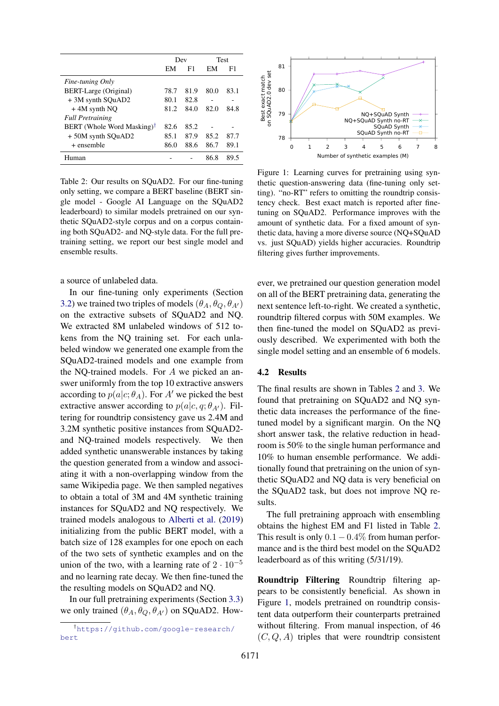<span id="page-3-0"></span>

|                                        | Dev  |      |      | Test |
|----------------------------------------|------|------|------|------|
|                                        | EM   | F1   | EM   | F1   |
| Fine-tuning Only                       |      |      |      |      |
| BERT-Large (Original)                  | 78.7 | 81.9 | 80.0 | 83.1 |
| +3M synth SOuAD2                       | 80.1 | 82.8 |      | -    |
| $+4M$ synth NO                         | 81.2 | 84.0 | 82.0 | 84.8 |
| <b>Full Pretraining</b>                |      |      |      |      |
| BERT (Whole Word Masking) <sup>†</sup> | 82.6 | 85.2 |      |      |
| +50M synth SQuAD2                      | 85.1 | 87.9 | 85.2 | 87.7 |
| + ensemble                             | 86.0 | 88.6 | 86.7 | 89.1 |
| Human                                  |      |      | 86.8 | 89.5 |

Table 2: Our results on SQuAD2. For our fine-tuning only setting, we compare a BERT baseline (BERT single model - Google AI Language on the SQuAD2 leaderboard) to similar models pretrained on our synthetic SQuAD2-style corpus and on a corpus containing both SQuAD2- and NQ-style data. For the full pretraining setting, we report our best single model and ensemble results.

a source of unlabeled data.

In our fine-tuning only experiments (Section [3.2\)](#page-1-1) we trained two triples of models  $(\theta_A, \theta_Q, \theta_{A'})$ on the extractive subsets of SQuAD2 and NQ. We extracted 8M unlabeled windows of 512 tokens from the NQ training set. For each unlabeled window we generated one example from the SQuAD2-trained models and one example from the NQ-trained models. For A we picked an answer uniformly from the top 10 extractive answers according to  $p(a|c; \theta_A)$ . For A' we picked the best extractive answer according to  $p(a|c, q; \theta_{A})$ . Filtering for roundtrip consistency gave us 2.4M and 3.2M synthetic positive instances from SQuAD2 and NQ-trained models respectively. We then added synthetic unanswerable instances by taking the question generated from a window and associating it with a non-overlapping window from the same Wikipedia page. We then sampled negatives to obtain a total of 3M and 4M synthetic training instances for SQuAD2 and NQ respectively. We trained models analogous to [Alberti et al.](#page-4-5) [\(2019\)](#page-4-5) initializing from the public BERT model, with a batch size of 128 examples for one epoch on each of the two sets of synthetic examples and on the union of the two, with a learning rate of  $2 \cdot 10^{-5}$ and no learning rate decay. We then fine-tuned the the resulting models on SQuAD2 and NQ.

In our full pretraining experiments (Section [3.3\)](#page-2-0) we only trained  $(\theta_A, \theta_O, \theta_{A'})$  on SQuAD2. How-

<span id="page-3-1"></span>

Figure 1: Learning curves for pretraining using synthetic question-answering data (fine-tuning only setting). "no-RT" refers to omitting the roundtrip consistency check. Best exact match is reported after finetuning on SQuAD2. Performance improves with the amount of synthetic data. For a fixed amount of synthetic data, having a more diverse source (NQ+SQuAD vs. just SQuAD) yields higher accuracies. Roundtrip filtering gives further improvements.

ever, we pretrained our question generation model on all of the BERT pretraining data, generating the next sentence left-to-right. We created a synthetic, roundtrip filtered corpus with 50M examples. We then fine-tuned the model on SQuAD2 as previously described. We experimented with both the single model setting and an ensemble of 6 models.

# 4.2 Results

The final results are shown in Tables [2](#page-3-0) and [3.](#page-4-7) We found that pretraining on SQuAD2 and NQ synthetic data increases the performance of the finetuned model by a significant margin. On the NQ short answer task, the relative reduction in headroom is 50% to the single human performance and 10% to human ensemble performance. We additionally found that pretraining on the union of synthetic SQuAD2 and NQ data is very beneficial on the SQuAD2 task, but does not improve NQ results.

The full pretraining approach with ensembling obtains the highest EM and F1 listed in Table [2.](#page-3-0) This result is only  $0.1 - 0.4\%$  from human performance and is the third best model on the SQuAD2 leaderboard as of this writing (5/31/19).

Roundtrip Filtering Roundtrip filtering appears to be consistently beneficial. As shown in Figure [1,](#page-3-1) models pretrained on roundtrip consistent data outperform their counterparts pretrained without filtering. From manual inspection, of 46  $(C, Q, A)$  triples that were roundtrip consistent

<sup>†</sup>[https://github.com/google-research/](https://github.com/google-research/bert) [bert](https://github.com/google-research/bert)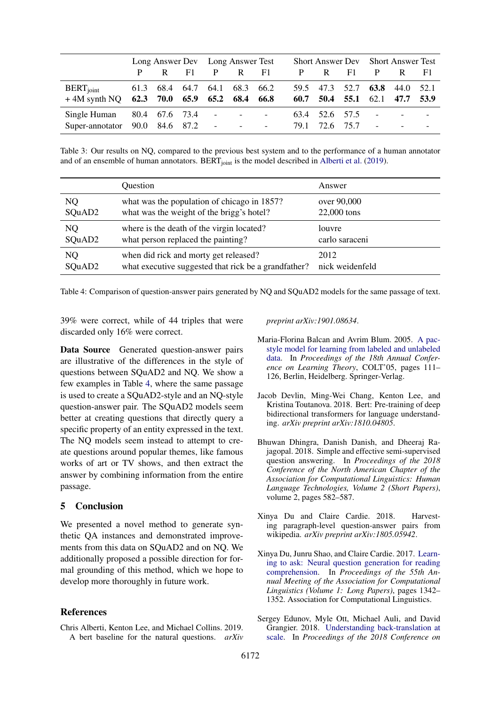<span id="page-4-7"></span>

|                                                                |      |                |                     | Long Answer Dev Long Answer Test                                                                                                                                                                                                                                                                                                                                                                                                                                    |                                                        |                                                      |              |                        | <b>Short Answer Dev</b> Short Answer Test |                                          |                          |                          |
|----------------------------------------------------------------|------|----------------|---------------------|---------------------------------------------------------------------------------------------------------------------------------------------------------------------------------------------------------------------------------------------------------------------------------------------------------------------------------------------------------------------------------------------------------------------------------------------------------------------|--------------------------------------------------------|------------------------------------------------------|--------------|------------------------|-------------------------------------------|------------------------------------------|--------------------------|--------------------------|
|                                                                |      | R.             | F1.                 | P                                                                                                                                                                                                                                                                                                                                                                                                                                                                   | $\mathbb{R}$                                           | F1.                                                  | P            | R                      | F1.                                       | P                                        | R                        | - F 1                    |
| $BERT_{joint}$<br>$+4M$ synth NQ 62.3 70.0 65.9 65.2 68.4 66.8 |      |                | 61.3 68.4 64.7 64.1 |                                                                                                                                                                                                                                                                                                                                                                                                                                                                     | 68.3 66.2                                              |                                                      | 59.5<br>60.7 | 47.3<br>50.4           | 52.7<br>55.1                              | 63.8<br>62.1                             | 44.0 52.1<br>47.7        | 53.9                     |
| Single Human<br>Super-annotator                                | 90.0 | 80.4 67.6 73.4 | 84.6 87.2           | $\sim$<br>$\mathcal{L}^{\mathcal{L}}(\mathcal{L}^{\mathcal{L}}(\mathcal{L}^{\mathcal{L}}(\mathcal{L}^{\mathcal{L}}(\mathcal{L}^{\mathcal{L}}(\mathcal{L}^{\mathcal{L}}(\mathcal{L}^{\mathcal{L}}(\mathcal{L}^{\mathcal{L}}(\mathcal{L}^{\mathcal{L}}(\mathcal{L}^{\mathcal{L}}(\mathcal{L}^{\mathcal{L}}(\mathcal{L}^{\mathcal{L}}(\mathcal{L}^{\mathcal{L}}(\mathcal{L}^{\mathcal{L}}(\mathcal{L}^{\mathcal{L}}(\mathcal{L}^{\mathcal{L}}(\mathcal{L}^{\mathcal{L$ | $\sim$ 100 $\mu$ m $^{-1}$<br>$\overline{\phantom{a}}$ | $\overline{\phantom{a}}$<br>$\overline{\phantom{a}}$ | 79.1         | 63.4 52.6 57.5<br>72.6 | 75.7                                      | $\overline{\phantom{a}}$<br>$\mathbb{L}$ | $\overline{\phantom{a}}$ | $\overline{\phantom{a}}$ |

Table 3: Our results on NQ, compared to the previous best system and to the performance of a human annotator and of an ensemble of human annotators. BERT<sub>ioint</sub> is the model described in [Alberti et al.](#page-4-5) [\(2019\)](#page-4-5).

<span id="page-4-8"></span>

|        | Question                                             | Answer          |
|--------|------------------------------------------------------|-----------------|
| NQ     | what was the population of chicago in 1857?          | over 90,000     |
| SQuAD2 | what was the weight of the brigg's hotel?            | 22,000 tons     |
| NQ     | where is the death of the virgin located?            | louvre          |
| SQuAD2 | what person replaced the painting?                   | carlo saraceni  |
| NQ     | when did rick and morty get released?                | 2012            |
| SQuAD2 | what executive suggested that rick be a grandfather? | nick weidenfeld |

Table 4: Comparison of question-answer pairs generated by NQ and SQuAD2 models for the same passage of text.

39% were correct, while of 44 triples that were discarded only 16% were correct.

Data Source Generated question-answer pairs are illustrative of the differences in the style of questions between SQuAD2 and NQ. We show a few examples in Table [4,](#page-4-8) where the same passage is used to create a SQuAD2-style and an NQ-style question-answer pair. The SQuAD2 models seem better at creating questions that directly query a specific property of an entity expressed in the text. The NQ models seem instead to attempt to create questions around popular themes, like famous works of art or TV shows, and then extract the answer by combining information from the entire passage.

### 5 Conclusion

We presented a novel method to generate synthetic QA instances and demonstrated improvements from this data on SQuAD2 and on NQ. We additionally proposed a possible direction for formal grounding of this method, which we hope to develop more thoroughly in future work.

# References

<span id="page-4-5"></span>Chris Alberti, Kenton Lee, and Michael Collins. 2019. A bert baseline for the natural questions. *arXiv* *preprint arXiv:1901.08634*.

- <span id="page-4-6"></span>Maria-Florina Balcan and Avrim Blum. 2005. [A pac](https://doi.org/10.1007/11503415_8)[style model for learning from labeled and unlabeled](https://doi.org/10.1007/11503415_8) [data.](https://doi.org/10.1007/11503415_8) In *Proceedings of the 18th Annual Conference on Learning Theory*, COLT'05, pages 111– 126, Berlin, Heidelberg. Springer-Verlag.
- <span id="page-4-0"></span>Jacob Devlin, Ming-Wei Chang, Kenton Lee, and Kristina Toutanova. 2018. Bert: Pre-training of deep bidirectional transformers for language understanding. *arXiv preprint arXiv:1810.04805*.
- <span id="page-4-3"></span>Bhuwan Dhingra, Danish Danish, and Dheeraj Rajagopal. 2018. Simple and effective semi-supervised question answering. In *Proceedings of the 2018 Conference of the North American Chapter of the Association for Computational Linguistics: Human Language Technologies, Volume 2 (Short Papers)*, volume 2, pages 582–587.
- <span id="page-4-2"></span>Xinya Du and Claire Cardie. 2018. Harvesting paragraph-level question-answer pairs from wikipedia. *arXiv preprint arXiv:1805.05942*.
- <span id="page-4-1"></span>Xinya Du, Junru Shao, and Claire Cardie. 2017. [Learn](https://doi.org/10.18653/v1/P17-1123)[ing to ask: Neural question generation for reading](https://doi.org/10.18653/v1/P17-1123) [comprehension.](https://doi.org/10.18653/v1/P17-1123) In *Proceedings of the 55th Annual Meeting of the Association for Computational Linguistics (Volume 1: Long Papers)*, pages 1342– 1352. Association for Computational Linguistics.
- <span id="page-4-4"></span>Sergey Edunov, Myle Ott, Michael Auli, and David Grangier. 2018. [Understanding back-translation at](http://aclweb.org/anthology/D18-1045) [scale.](http://aclweb.org/anthology/D18-1045) In *Proceedings of the 2018 Conference on*